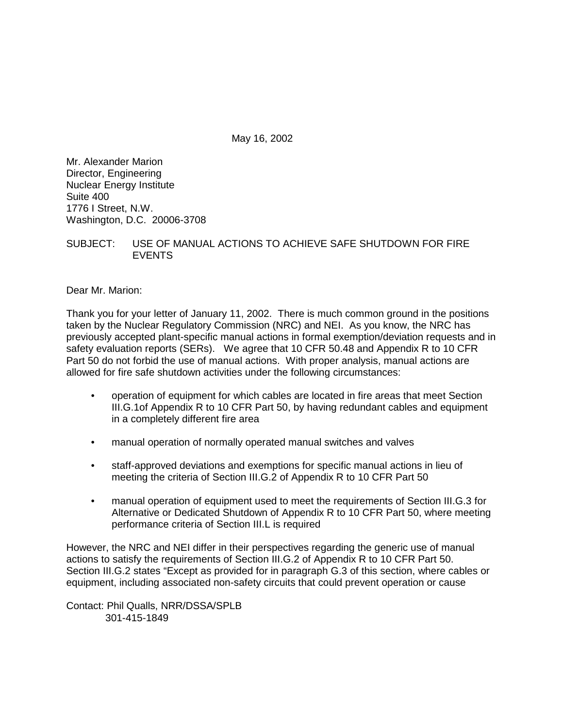May 16, 2002

Mr. Alexander Marion Director, Engineering Nuclear Energy Institute Suite 400 1776 I Street, N.W. Washington, D.C. 20006-3708

SUBJECT: USE OF MANUAL ACTIONS TO ACHIEVE SAFE SHUTDOWN FOR FIRE EVENTS

Dear Mr. Marion:

Thank you for your letter of January 11, 2002. There is much common ground in the positions taken by the Nuclear Regulatory Commission (NRC) and NEI. As you know, the NRC has previously accepted plant-specific manual actions in formal exemption/deviation requests and in safety evaluation reports (SERs). We agree that 10 CFR 50.48 and Appendix R to 10 CFR Part 50 do not forbid the use of manual actions. With proper analysis, manual actions are allowed for fire safe shutdown activities under the following circumstances:

- operation of equipment for which cables are located in fire areas that meet Section III.G.1of Appendix R to 10 CFR Part 50, by having redundant cables and equipment in a completely different fire area
- manual operation of normally operated manual switches and valves
- staff-approved deviations and exemptions for specific manual actions in lieu of meeting the criteria of Section III.G.2 of Appendix R to 10 CFR Part 50
- manual operation of equipment used to meet the requirements of Section III.G.3 for Alternative or Dedicated Shutdown of Appendix R to 10 CFR Part 50, where meeting performance criteria of Section III.L is required

However, the NRC and NEI differ in their perspectives regarding the generic use of manual actions to satisfy the requirements of Section III.G.2 of Appendix R to 10 CFR Part 50. Section III.G.2 states "Except as provided for in paragraph G.3 of this section, where cables or equipment, including associated non-safety circuits that could prevent operation or cause

Contact: Phil Qualls, NRR/DSSA/SPLB 301-415-1849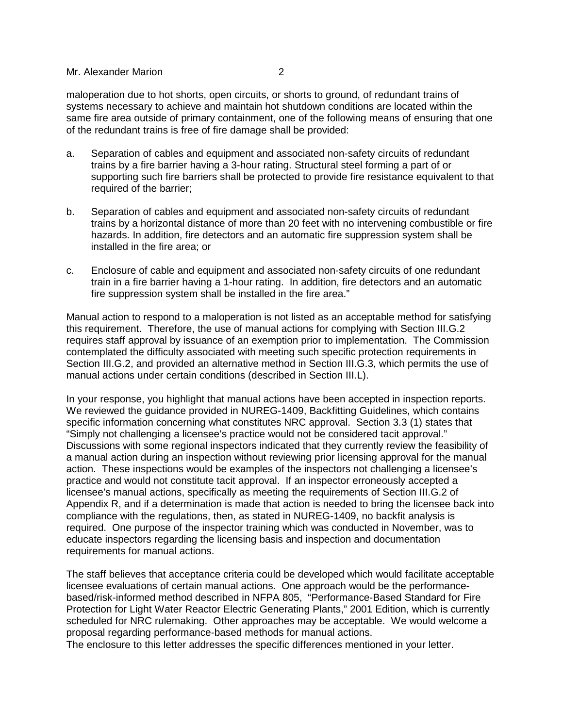## Mr. Alexander Marion 2

maloperation due to hot shorts, open circuits, or shorts to ground, of redundant trains of systems necessary to achieve and maintain hot shutdown conditions are located within the same fire area outside of primary containment, one of the following means of ensuring that one of the redundant trains is free of fire damage shall be provided:

- a. Separation of cables and equipment and associated non-safety circuits of redundant trains by a fire barrier having a 3-hour rating. Structural steel forming a part of or supporting such fire barriers shall be protected to provide fire resistance equivalent to that required of the barrier;
- b. Separation of cables and equipment and associated non-safety circuits of redundant trains by a horizontal distance of more than 20 feet with no intervening combustible or fire hazards. In addition, fire detectors and an automatic fire suppression system shall be installed in the fire area; or
- c. Enclosure of cable and equipment and associated non-safety circuits of one redundant train in a fire barrier having a 1-hour rating. In addition, fire detectors and an automatic fire suppression system shall be installed in the fire area."

Manual action to respond to a maloperation is not listed as an acceptable method for satisfying this requirement. Therefore, the use of manual actions for complying with Section III.G.2 requires staff approval by issuance of an exemption prior to implementation. The Commission contemplated the difficulty associated with meeting such specific protection requirements in Section III.G.2, and provided an alternative method in Section III.G.3, which permits the use of manual actions under certain conditions (described in Section III.L).

In your response, you highlight that manual actions have been accepted in inspection reports. We reviewed the guidance provided in NUREG-1409, Backfitting Guidelines, which contains specific information concerning what constitutes NRC approval. Section 3.3 (1) states that "Simply not challenging a licensee's practice would not be considered tacit approval." Discussions with some regional inspectors indicated that they currently review the feasibility of a manual action during an inspection without reviewing prior licensing approval for the manual action. These inspections would be examples of the inspectors not challenging a licensee's practice and would not constitute tacit approval. If an inspector erroneously accepted a licensee's manual actions, specifically as meeting the requirements of Section III.G.2 of Appendix R, and if a determination is made that action is needed to bring the licensee back into compliance with the regulations, then, as stated in NUREG-1409, no backfit analysis is required. One purpose of the inspector training which was conducted in November, was to educate inspectors regarding the licensing basis and inspection and documentation requirements for manual actions.

The staff believes that acceptance criteria could be developed which would facilitate acceptable licensee evaluations of certain manual actions. One approach would be the performancebased/risk-informed method described in NFPA 805, "Performance-Based Standard for Fire Protection for Light Water Reactor Electric Generating Plants," 2001 Edition, which is currently scheduled for NRC rulemaking. Other approaches may be acceptable. We would welcome a proposal regarding performance-based methods for manual actions.

The enclosure to this letter addresses the specific differences mentioned in your letter.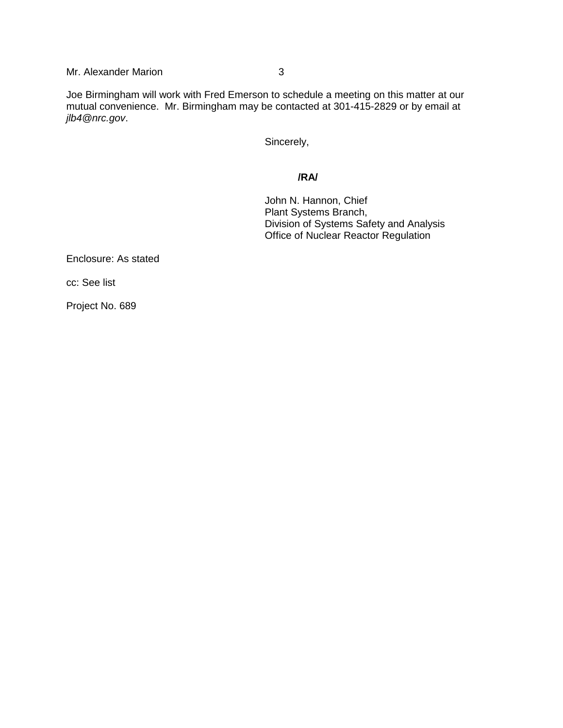Mr. Alexander Marion 3

Joe Birmingham will work with Fred Emerson to schedule a meeting on this matter at our mutual convenience. Mr. Birmingham may be contacted at 301-415-2829 or by email at jlb4@nrc.gov.

Sincerely,

## **/RA/**

John N. Hannon, Chief Plant Systems Branch, Division of Systems Safety and Analysis Office of Nuclear Reactor Regulation

Enclosure: As stated

cc: See list

Project No. 689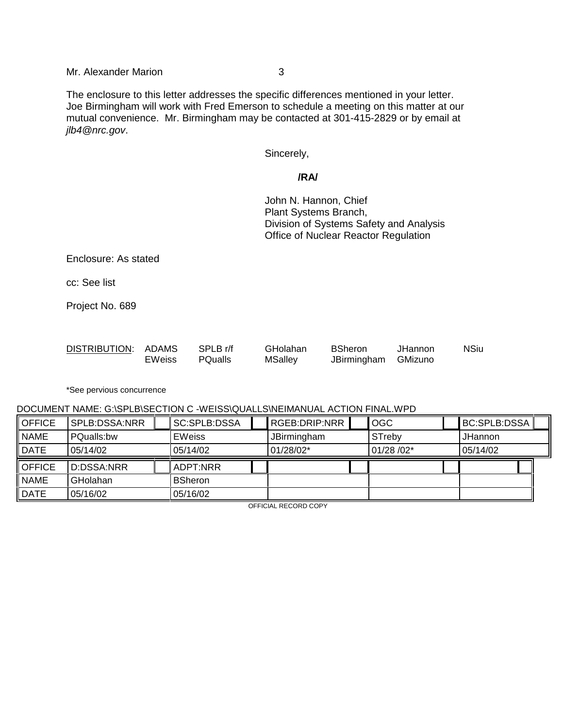The enclosure to this letter addresses the specific differences mentioned in your letter. Joe Birmingham will work with Fred Emerson to schedule a meeting on this matter at our mutual convenience. Mr. Birmingham may be contacted at 301-415-2829 or by email at jlb4@nrc.gov.

Sincerely,

# **/RA/**

John N. Hannon, Chief Plant Systems Branch, Division of Systems Safety and Analysis Office of Nuclear Reactor Regulation

Enclosure: As stated

cc: See list

Project No. 689

| DISTRIBUTION: ADAMS |               | SPLB r/f       | GHolahan       | <b>BSheron</b>      | <b>JHannon</b> | <b>NSiu</b> |
|---------------------|---------------|----------------|----------------|---------------------|----------------|-------------|
|                     | <b>EWeiss</b> | <b>PQualls</b> | <b>MSalley</b> | JBirmingham GMizuno |                |             |

\*See pervious concurrence

### DOCUMENT NAME: G:\SPLB\SECTION C -WEISS\QUALLS\NEIMANUAL ACTION FINAL.WPD

| <b>OFFICE</b> | SPLB:DSSA:NRR |  | SC:SPLB:DSSA   |  | RGEB:DRIP:NRR |  | <b>OGC</b> |  | BC:SPLB:DSSAI |  |
|---------------|---------------|--|----------------|--|---------------|--|------------|--|---------------|--|
| <b>NAME</b>   | PQualls:bw    |  | <b>EWeiss</b>  |  | JBirmingham   |  | STreby     |  | JHannon       |  |
| DATE          | 05/14/02      |  | 05/14/02       |  | $01/28/02*$   |  | 01/28 /02* |  | 05/14/02      |  |
| <b>OFFICE</b> | D:DSSA:NRR    |  | ADPT:NRR       |  |               |  |            |  |               |  |
|               |               |  |                |  |               |  |            |  |               |  |
| <b>NAME</b>   | GHolahan      |  | <b>BSheron</b> |  |               |  |            |  |               |  |

OFFICIAL RECORD COPY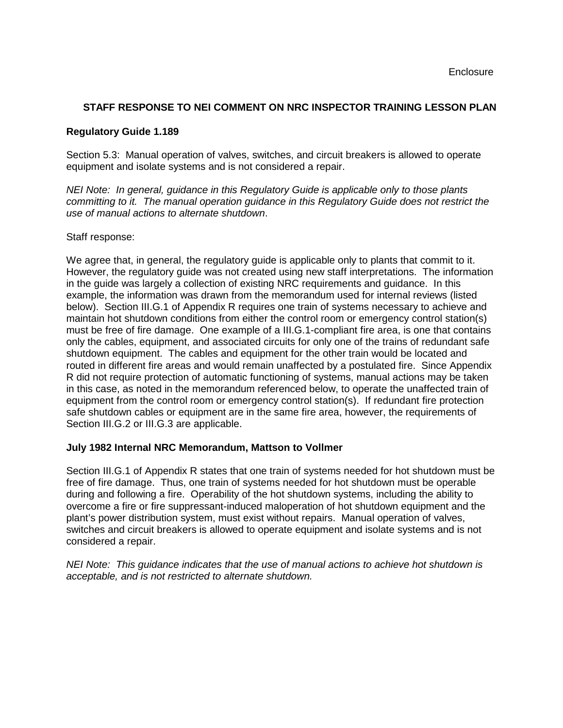# **STAFF RESPONSE TO NEI COMMENT ON NRC INSPECTOR TRAINING LESSON PLAN**

## **Regulatory Guide 1.189**

Section 5.3: Manual operation of valves, switches, and circuit breakers is allowed to operate equipment and isolate systems and is not considered a repair.

NEI Note: In general, guidance in this Regulatory Guide is applicable only to those plants committing to it. The manual operation guidance in this Regulatory Guide does not restrict the use of manual actions to alternate shutdown.

## Staff response:

We agree that, in general, the regulatory guide is applicable only to plants that commit to it. However, the regulatory guide was not created using new staff interpretations. The information in the guide was largely a collection of existing NRC requirements and guidance. In this example, the information was drawn from the memorandum used for internal reviews (listed below). Section III.G.1 of Appendix R requires one train of systems necessary to achieve and maintain hot shutdown conditions from either the control room or emergency control station(s) must be free of fire damage. One example of a III.G.1-compliant fire area, is one that contains only the cables, equipment, and associated circuits for only one of the trains of redundant safe shutdown equipment. The cables and equipment for the other train would be located and routed in different fire areas and would remain unaffected by a postulated fire. Since Appendix R did not require protection of automatic functioning of systems, manual actions may be taken in this case, as noted in the memorandum referenced below, to operate the unaffected train of equipment from the control room or emergency control station(s). If redundant fire protection safe shutdown cables or equipment are in the same fire area, however, the requirements of Section III.G.2 or III.G.3 are applicable.

## **July 1982 Internal NRC Memorandum, Mattson to Vollmer**

Section III.G.1 of Appendix R states that one train of systems needed for hot shutdown must be free of fire damage. Thus, one train of systems needed for hot shutdown must be operable during and following a fire. Operability of the hot shutdown systems, including the ability to overcome a fire or fire suppressant-induced maloperation of hot shutdown equipment and the plant's power distribution system, must exist without repairs. Manual operation of valves, switches and circuit breakers is allowed to operate equipment and isolate systems and is not considered a repair.

NEI Note: This guidance indicates that the use of manual actions to achieve hot shutdown is acceptable, and is not restricted to alternate shutdown.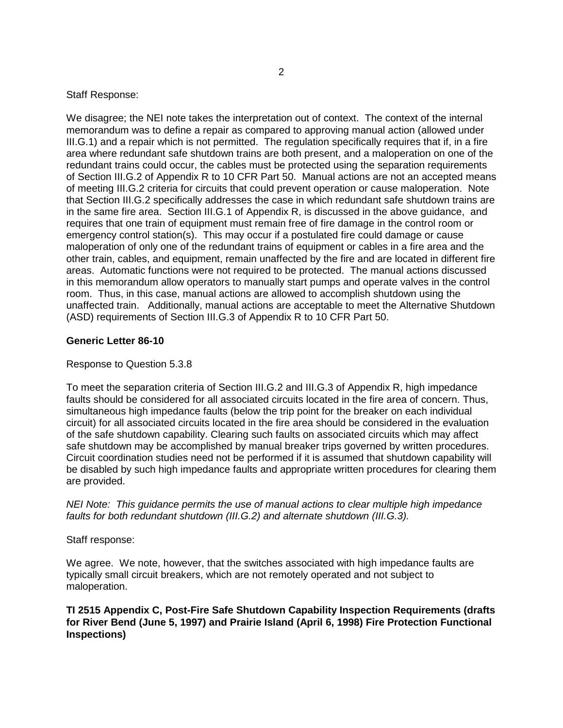Staff Response:

We disagree; the NEI note takes the interpretation out of context. The context of the internal memorandum was to define a repair as compared to approving manual action (allowed under III.G.1) and a repair which is not permitted. The regulation specifically requires that if, in a fire area where redundant safe shutdown trains are both present, and a maloperation on one of the redundant trains could occur, the cables must be protected using the separation requirements of Section III.G.2 of Appendix R to 10 CFR Part 50. Manual actions are not an accepted means of meeting III.G.2 criteria for circuits that could prevent operation or cause maloperation. Note that Section III.G.2 specifically addresses the case in which redundant safe shutdown trains are in the same fire area. Section III.G.1 of Appendix R, is discussed in the above guidance, and requires that one train of equipment must remain free of fire damage in the control room or emergency control station(s). This may occur if a postulated fire could damage or cause maloperation of only one of the redundant trains of equipment or cables in a fire area and the other train, cables, and equipment, remain unaffected by the fire and are located in different fire areas. Automatic functions were not required to be protected. The manual actions discussed in this memorandum allow operators to manually start pumps and operate valves in the control room. Thus, in this case, manual actions are allowed to accomplish shutdown using the unaffected train. Additionally, manual actions are acceptable to meet the Alternative Shutdown (ASD) requirements of Section III.G.3 of Appendix R to 10 CFR Part 50.

## **Generic Letter 86-10**

### Response to Question 5.3.8

To meet the separation criteria of Section III.G.2 and III.G.3 of Appendix R, high impedance faults should be considered for all associated circuits located in the fire area of concern. Thus, simultaneous high impedance faults (below the trip point for the breaker on each individual circuit) for all associated circuits located in the fire area should be considered in the evaluation of the safe shutdown capability. Clearing such faults on associated circuits which may affect safe shutdown may be accomplished by manual breaker trips governed by written procedures. Circuit coordination studies need not be performed if it is assumed that shutdown capability will be disabled by such high impedance faults and appropriate written procedures for clearing them are provided.

NEI Note: This guidance permits the use of manual actions to clear multiple high impedance faults for both redundant shutdown (III.G.2) and alternate shutdown (III.G.3).

Staff response:

We agree. We note, however, that the switches associated with high impedance faults are typically small circuit breakers, which are not remotely operated and not subject to maloperation.

**TI 2515 Appendix C, Post-Fire Safe Shutdown Capability Inspection Requirements (drafts for River Bend (June 5, 1997) and Prairie Island (April 6, 1998) Fire Protection Functional Inspections)**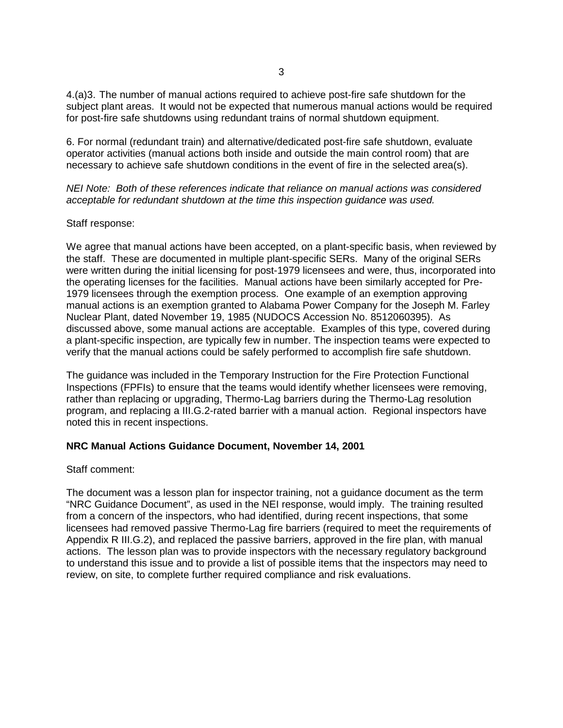4.(a)3. The number of manual actions required to achieve post-fire safe shutdown for the subject plant areas. It would not be expected that numerous manual actions would be required for post-fire safe shutdowns using redundant trains of normal shutdown equipment.

6. For normal (redundant train) and alternative/dedicated post-fire safe shutdown, evaluate operator activities (manual actions both inside and outside the main control room) that are necessary to achieve safe shutdown conditions in the event of fire in the selected area(s).

NEI Note: Both of these references indicate that reliance on manual actions was considered acceptable for redundant shutdown at the time this inspection guidance was used.

### Staff response:

We agree that manual actions have been accepted, on a plant-specific basis, when reviewed by the staff. These are documented in multiple plant-specific SERs. Many of the original SERs were written during the initial licensing for post-1979 licensees and were, thus, incorporated into the operating licenses for the facilities. Manual actions have been similarly accepted for Pre-1979 licensees through the exemption process. One example of an exemption approving manual actions is an exemption granted to Alabama Power Company for the Joseph M. Farley Nuclear Plant, dated November 19, 1985 (NUDOCS Accession No. 8512060395). As discussed above, some manual actions are acceptable. Examples of this type, covered during a plant-specific inspection, are typically few in number. The inspection teams were expected to verify that the manual actions could be safely performed to accomplish fire safe shutdown.

The guidance was included in the Temporary Instruction for the Fire Protection Functional Inspections (FPFIs) to ensure that the teams would identify whether licensees were removing, rather than replacing or upgrading, Thermo-Lag barriers during the Thermo-Lag resolution program, and replacing a III.G.2-rated barrier with a manual action. Regional inspectors have noted this in recent inspections.

## **NRC Manual Actions Guidance Document, November 14, 2001**

#### Staff comment:

The document was a lesson plan for inspector training, not a guidance document as the term "NRC Guidance Document", as used in the NEI response, would imply. The training resulted from a concern of the inspectors, who had identified, during recent inspections, that some licensees had removed passive Thermo-Lag fire barriers (required to meet the requirements of Appendix R III.G.2), and replaced the passive barriers, approved in the fire plan, with manual actions. The lesson plan was to provide inspectors with the necessary regulatory background to understand this issue and to provide a list of possible items that the inspectors may need to review, on site, to complete further required compliance and risk evaluations.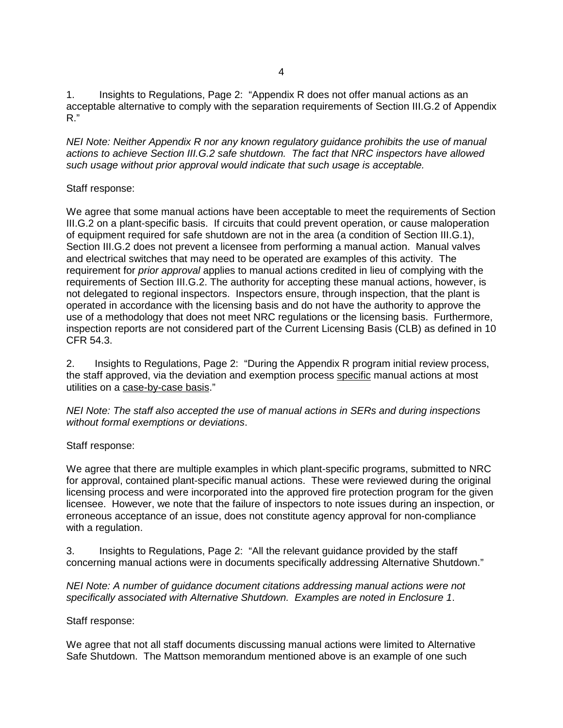1. Insights to Regulations, Page 2: "Appendix R does not offer manual actions as an acceptable alternative to comply with the separation requirements of Section III.G.2 of Appendix R."

NEI Note: Neither Appendix R nor any known regulatory guidance prohibits the use of manual actions to achieve Section III.G.2 safe shutdown. The fact that NRC inspectors have allowed such usage without prior approval would indicate that such usage is acceptable.

## Staff response:

We agree that some manual actions have been acceptable to meet the requirements of Section III.G.2 on a plant-specific basis. If circuits that could prevent operation, or cause maloperation of equipment required for safe shutdown are not in the area (a condition of Section III.G.1), Section III.G.2 does not prevent a licensee from performing a manual action. Manual valves and electrical switches that may need to be operated are examples of this activity. The requirement for prior approval applies to manual actions credited in lieu of complying with the requirements of Section III.G.2. The authority for accepting these manual actions, however, is not delegated to regional inspectors. Inspectors ensure, through inspection, that the plant is operated in accordance with the licensing basis and do not have the authority to approve the use of a methodology that does not meet NRC regulations or the licensing basis. Furthermore, inspection reports are not considered part of the Current Licensing Basis (CLB) as defined in 10 CFR 54.3.

2. Insights to Regulations, Page 2: "During the Appendix R program initial review process, the staff approved, via the deviation and exemption process specific manual actions at most utilities on a case-by-case basis."

NEI Note: The staff also accepted the use of manual actions in SERs and during inspections without formal exemptions or deviations.

# Staff response:

We agree that there are multiple examples in which plant-specific programs, submitted to NRC for approval, contained plant-specific manual actions. These were reviewed during the original licensing process and were incorporated into the approved fire protection program for the given licensee. However, we note that the failure of inspectors to note issues during an inspection, or erroneous acceptance of an issue, does not constitute agency approval for non-compliance with a regulation.

3. Insights to Regulations, Page 2: "All the relevant guidance provided by the staff concerning manual actions were in documents specifically addressing Alternative Shutdown."

NEI Note: A number of guidance document citations addressing manual actions were not specifically associated with Alternative Shutdown. Examples are noted in Enclosure 1.

## Staff response:

We agree that not all staff documents discussing manual actions were limited to Alternative Safe Shutdown. The Mattson memorandum mentioned above is an example of one such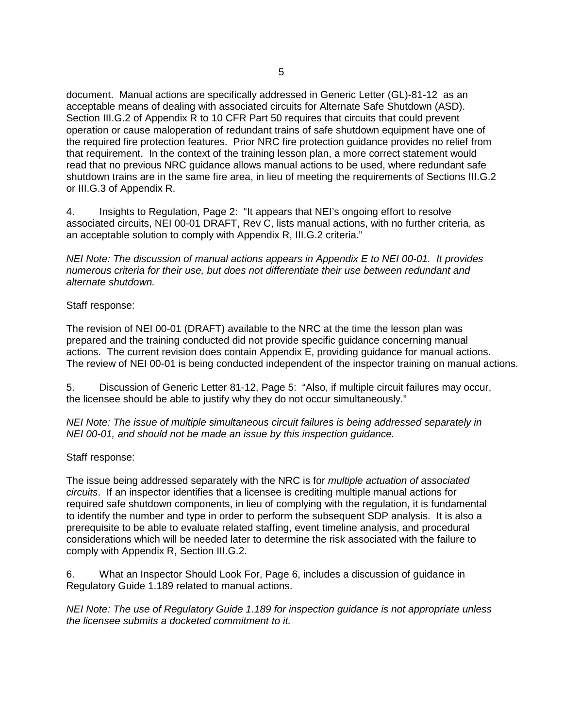document. Manual actions are specifically addressed in Generic Letter (GL)-81-12 as an acceptable means of dealing with associated circuits for Alternate Safe Shutdown (ASD). Section III.G.2 of Appendix R to 10 CFR Part 50 requires that circuits that could prevent operation or cause maloperation of redundant trains of safe shutdown equipment have one of the required fire protection features. Prior NRC fire protection guidance provides no relief from that requirement. In the context of the training lesson plan, a more correct statement would read that no previous NRC guidance allows manual actions to be used, where redundant safe shutdown trains are in the same fire area, in lieu of meeting the requirements of Sections III.G.2 or III.G.3 of Appendix R.

4. Insights to Regulation, Page 2: "It appears that NEI's ongoing effort to resolve associated circuits, NEI 00-01 DRAFT, Rev C, lists manual actions, with no further criteria, as an acceptable solution to comply with Appendix R, III.G.2 criteria."

NEI Note: The discussion of manual actions appears in Appendix E to NEI 00-01. It provides numerous criteria for their use, but does not differentiate their use between redundant and alternate shutdown.

## Staff response:

The revision of NEI 00-01 (DRAFT) available to the NRC at the time the lesson plan was prepared and the training conducted did not provide specific guidance concerning manual actions. The current revision does contain Appendix E, providing guidance for manual actions. The review of NEI 00-01 is being conducted independent of the inspector training on manual actions.

5. Discussion of Generic Letter 81-12, Page 5: "Also, if multiple circuit failures may occur, the licensee should be able to justify why they do not occur simultaneously."

NEI Note: The issue of multiple simultaneous circuit failures is being addressed separately in NEI 00-01, and should not be made an issue by this inspection guidance.

## Staff response:

The issue being addressed separately with the NRC is for *multiple actuation of associated* circuits. If an inspector identifies that a licensee is crediting multiple manual actions for required safe shutdown components, in lieu of complying with the regulation, it is fundamental to identify the number and type in order to perform the subsequent SDP analysis. It is also a prerequisite to be able to evaluate related staffing, event timeline analysis, and procedural considerations which will be needed later to determine the risk associated with the failure to comply with Appendix R, Section III.G.2.

6. What an Inspector Should Look For, Page 6, includes a discussion of guidance in Regulatory Guide 1.189 related to manual actions.

NEI Note: The use of Regulatory Guide 1.189 for inspection guidance is not appropriate unless the licensee submits a docketed commitment to it.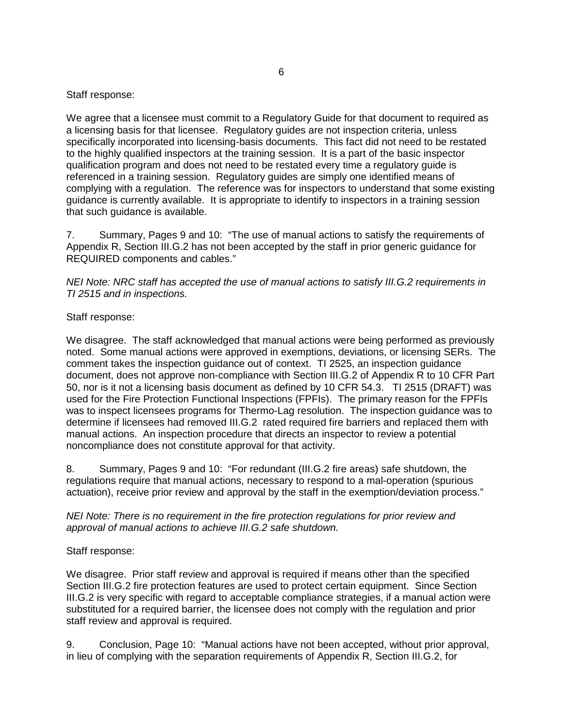Staff response:

We agree that a licensee must commit to a Regulatory Guide for that document to required as a licensing basis for that licensee. Regulatory guides are not inspection criteria, unless specifically incorporated into licensing-basis documents. This fact did not need to be restated to the highly qualified inspectors at the training session. It is a part of the basic inspector qualification program and does not need to be restated every time a regulatory guide is referenced in a training session. Regulatory guides are simply one identified means of complying with a regulation. The reference was for inspectors to understand that some existing guidance is currently available. It is appropriate to identify to inspectors in a training session that such guidance is available.

7. Summary, Pages 9 and 10: "The use of manual actions to satisfy the requirements of Appendix R, Section III.G.2 has not been accepted by the staff in prior generic guidance for REQUIRED components and cables."

NEI Note: NRC staff has accepted the use of manual actions to satisfy III.G.2 requirements in TI 2515 and in inspections.

## Staff response:

We disagree. The staff acknowledged that manual actions were being performed as previously noted. Some manual actions were approved in exemptions, deviations, or licensing SERs. The comment takes the inspection guidance out of context. TI 2525, an inspection guidance document, does not approve non-compliance with Section III.G.2 of Appendix R to 10 CFR Part 50, nor is it not a licensing basis document as defined by 10 CFR 54.3. TI 2515 (DRAFT) was used for the Fire Protection Functional Inspections (FPFIs). The primary reason for the FPFIs was to inspect licensees programs for Thermo-Lag resolution. The inspection guidance was to determine if licensees had removed III.G.2 rated required fire barriers and replaced them with manual actions. An inspection procedure that directs an inspector to review a potential noncompliance does not constitute approval for that activity.

8. Summary, Pages 9 and 10: "For redundant (III.G.2 fire areas) safe shutdown, the regulations require that manual actions, necessary to respond to a mal-operation (spurious actuation), receive prior review and approval by the staff in the exemption/deviation process."

NEI Note: There is no requirement in the fire protection regulations for prior review and approval of manual actions to achieve III.G.2 safe shutdown.

# Staff response:

We disagree. Prior staff review and approval is required if means other than the specified Section III.G.2 fire protection features are used to protect certain equipment. Since Section III.G.2 is very specific with regard to acceptable compliance strategies, if a manual action were substituted for a required barrier, the licensee does not comply with the regulation and prior staff review and approval is required.

9. Conclusion, Page 10: "Manual actions have not been accepted, without prior approval, in lieu of complying with the separation requirements of Appendix R, Section III.G.2, for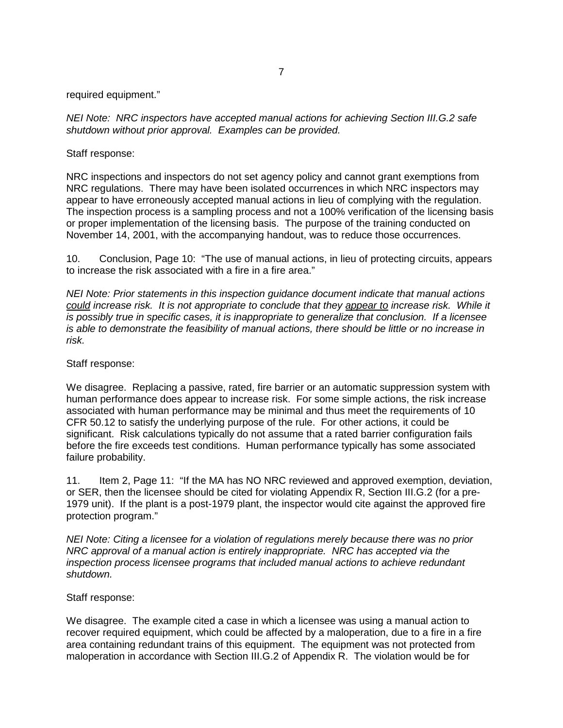required equipment."

NEI Note: NRC inspectors have accepted manual actions for achieving Section III.G.2 safe shutdown without prior approval. Examples can be provided.

Staff response:

NRC inspections and inspectors do not set agency policy and cannot grant exemptions from NRC regulations. There may have been isolated occurrences in which NRC inspectors may appear to have erroneously accepted manual actions in lieu of complying with the regulation. The inspection process is a sampling process and not a 100% verification of the licensing basis or proper implementation of the licensing basis. The purpose of the training conducted on November 14, 2001, with the accompanying handout, was to reduce those occurrences.

10. Conclusion, Page 10: "The use of manual actions, in lieu of protecting circuits, appears to increase the risk associated with a fire in a fire area."

NEI Note: Prior statements in this inspection guidance document indicate that manual actions could increase risk. It is not appropriate to conclude that they appear to increase risk. While it is possibly true in specific cases, it is inappropriate to generalize that conclusion. If a licensee is able to demonstrate the feasibility of manual actions, there should be little or no increase in risk.

### Staff response:

We disagree. Replacing a passive, rated, fire barrier or an automatic suppression system with human performance does appear to increase risk. For some simple actions, the risk increase associated with human performance may be minimal and thus meet the requirements of 10 CFR 50.12 to satisfy the underlying purpose of the rule. For other actions, it could be significant. Risk calculations typically do not assume that a rated barrier configuration fails before the fire exceeds test conditions. Human performance typically has some associated failure probability.

11. Item 2, Page 11: "If the MA has NO NRC reviewed and approved exemption, deviation, or SER, then the licensee should be cited for violating Appendix R, Section III.G.2 (for a pre-1979 unit). If the plant is a post-1979 plant, the inspector would cite against the approved fire protection program."

NEI Note: Citing a licensee for a violation of regulations merely because there was no prior NRC approval of a manual action is entirely inappropriate. NRC has accepted via the inspection process licensee programs that included manual actions to achieve redundant shutdown.

#### Staff response:

We disagree. The example cited a case in which a licensee was using a manual action to recover required equipment, which could be affected by a maloperation, due to a fire in a fire area containing redundant trains of this equipment. The equipment was not protected from maloperation in accordance with Section III.G.2 of Appendix R. The violation would be for